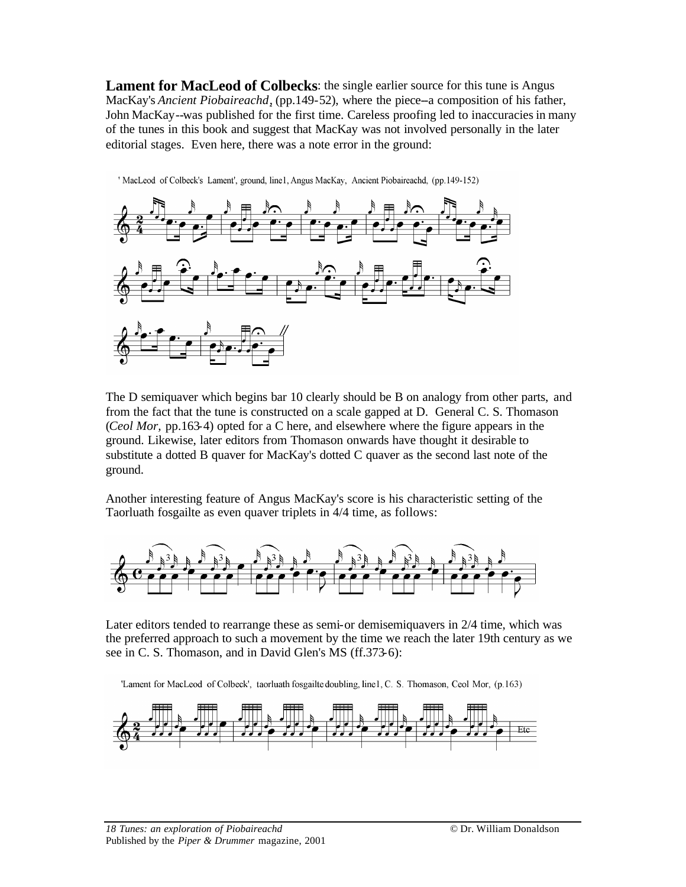**Lament for MacLeod of Colbecks**: the single earlier source for this tune is Angus MacKay's *Ancient Piobaireachd*, (pp.149-52), where the piece--a composition of his father, John MacKay--was published for the first time. Careless proofing led to inaccuracies in many of the tunes in this book and suggest that MacKay was not involved personally in the later editorial stages. Even here, there was a note error in the ground:



' MacLeod of Colbeck's Lament', ground, line1, Angus MacKay, Ancient Piobaireachd, (pp.149-152)

The D semiquaver which begins bar 10 clearly should be B on analogy from other parts, and from the fact that the tune is constructed on a scale gapped at D. General C. S. Thomason (*Ceol Mor,* pp.163-4) opted for a C here, and elsewhere where the figure appears in the ground. Likewise, later editors from Thomason onwards have thought it desirable to substitute a dotted B quaver for MacKay's dotted C quaver as the second last note of the ground.

Another interesting feature of Angus MacKay's score is his characteristic setting of the Taorluath fosgailte as even quaver triplets in 4/4 time, as follows:



Later editors tended to rearrange these as semi-or demisemiquavers in 2/4 time, which was the preferred approach to such a movement by the time we reach the later 19th century as we see in C. S. Thomason, and in David Glen's MS (ff.373-6):

'Lament for MacLeod of Colbeck', taorluath fosgailte doubling, line1, C. S. Thomason, Ceol Mor, (p.163)